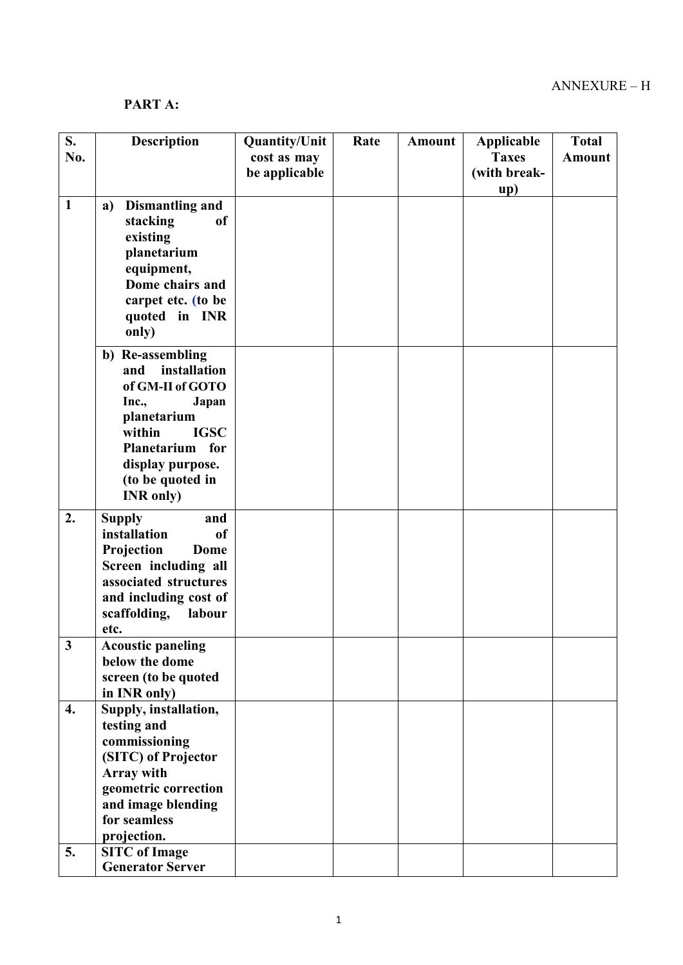## PART A:

| S.                 | <b>Description</b>                         | <b>Quantity/Unit</b> | Rate | <b>Amount</b> | Applicable   | <b>Total</b>  |
|--------------------|--------------------------------------------|----------------------|------|---------------|--------------|---------------|
| No.                |                                            | cost as may          |      |               | <b>Taxes</b> | <b>Amount</b> |
|                    |                                            | be applicable        |      |               | (with break- |               |
|                    |                                            |                      |      |               | up)          |               |
| $\mathbf{1}$       | <b>Dismantling and</b><br>a)               |                      |      |               |              |               |
|                    | stacking<br><sub>of</sub>                  |                      |      |               |              |               |
|                    | existing                                   |                      |      |               |              |               |
|                    | planetarium                                |                      |      |               |              |               |
|                    | equipment,<br>Dome chairs and              |                      |      |               |              |               |
|                    | carpet etc. (to be                         |                      |      |               |              |               |
|                    | quoted in INR                              |                      |      |               |              |               |
|                    | only)                                      |                      |      |               |              |               |
|                    | b) Re-assembling                           |                      |      |               |              |               |
|                    | installation<br>and                        |                      |      |               |              |               |
|                    | of GM-II of GOTO                           |                      |      |               |              |               |
|                    | Inc.,<br>Japan                             |                      |      |               |              |               |
|                    | planetarium<br><b>IGSC</b><br>within       |                      |      |               |              |               |
|                    | Planetarium for                            |                      |      |               |              |               |
|                    | display purpose.                           |                      |      |               |              |               |
|                    | (to be quoted in                           |                      |      |               |              |               |
|                    | <b>INR</b> only)                           |                      |      |               |              |               |
| 2.                 | <b>Supply</b><br>and                       |                      |      |               |              |               |
|                    | installation<br>of                         |                      |      |               |              |               |
|                    | Projection<br>Dome                         |                      |      |               |              |               |
|                    | Screen including all                       |                      |      |               |              |               |
|                    | associated structures                      |                      |      |               |              |               |
|                    | and including cost of                      |                      |      |               |              |               |
|                    | scaffolding,<br>labour                     |                      |      |               |              |               |
| $\mathbf{3}$       | etc.<br><b>Acoustic paneling</b>           |                      |      |               |              |               |
|                    | below the dome                             |                      |      |               |              |               |
|                    | screen (to be quoted                       |                      |      |               |              |               |
|                    | in INR only)                               |                      |      |               |              |               |
| $\boldsymbol{4}$ . | Supply, installation,                      |                      |      |               |              |               |
|                    | testing and                                |                      |      |               |              |               |
|                    | commissioning                              |                      |      |               |              |               |
|                    | (SITC) of Projector                        |                      |      |               |              |               |
|                    | Array with                                 |                      |      |               |              |               |
|                    | geometric correction<br>and image blending |                      |      |               |              |               |
|                    | for seamless                               |                      |      |               |              |               |
|                    | projection.                                |                      |      |               |              |               |
| 5.                 | <b>SITC</b> of Image                       |                      |      |               |              |               |
|                    | <b>Generator Server</b>                    |                      |      |               |              |               |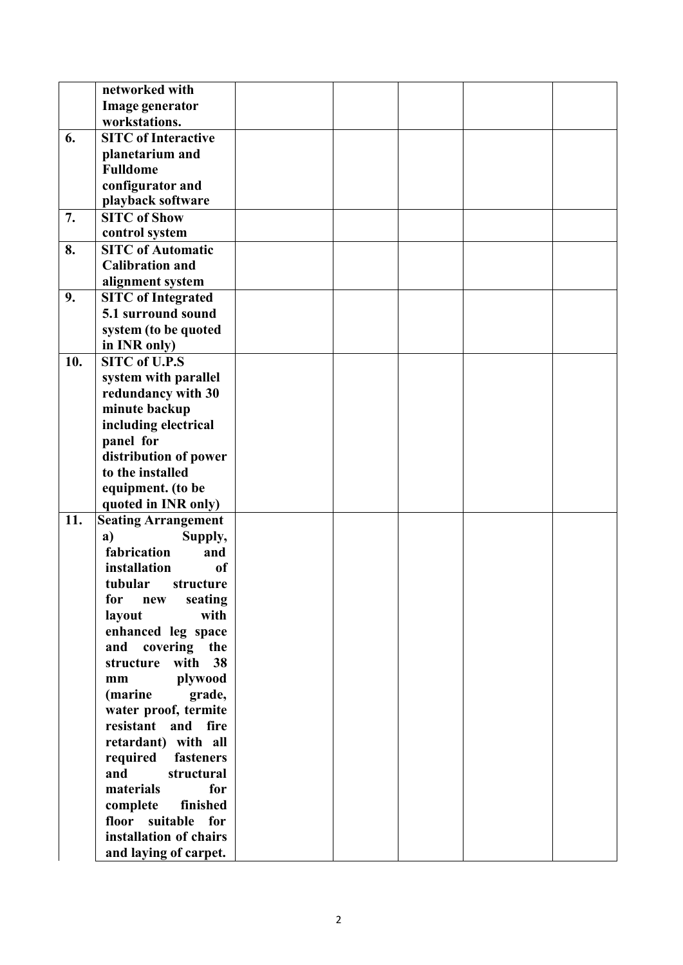|     | networked with                |  |  |  |
|-----|-------------------------------|--|--|--|
|     | Image generator               |  |  |  |
|     | workstations.                 |  |  |  |
| 6.  | <b>SITC</b> of Interactive    |  |  |  |
|     | planetarium and               |  |  |  |
|     | <b>Fulldome</b>               |  |  |  |
|     | configurator and              |  |  |  |
|     | playback software             |  |  |  |
| 7.  | <b>SITC of Show</b>           |  |  |  |
|     | control system                |  |  |  |
| 8.  | <b>SITC of Automatic</b>      |  |  |  |
|     | <b>Calibration and</b>        |  |  |  |
|     | alignment system              |  |  |  |
| 9.  | <b>SITC</b> of Integrated     |  |  |  |
|     | 5.1 surround sound            |  |  |  |
|     | system (to be quoted          |  |  |  |
|     | in INR only)                  |  |  |  |
| 10. | <b>SITC of U.P.S</b>          |  |  |  |
|     | system with parallel          |  |  |  |
|     | redundancy with 30            |  |  |  |
|     | minute backup                 |  |  |  |
|     | including electrical          |  |  |  |
|     | panel for                     |  |  |  |
|     | distribution of power         |  |  |  |
|     | to the installed              |  |  |  |
|     | equipment. (to be             |  |  |  |
|     | quoted in INR only)           |  |  |  |
| 11. | <b>Seating Arrangement</b>    |  |  |  |
|     | Supply,<br>a)                 |  |  |  |
|     | fabrication<br>and            |  |  |  |
|     | installation<br><sub>of</sub> |  |  |  |
|     | tubular<br>structure          |  |  |  |
|     | seating<br>for<br>new         |  |  |  |
|     | with<br>layout                |  |  |  |
|     | enhanced leg space            |  |  |  |
|     | covering the<br>and           |  |  |  |
|     | with<br>38<br>structure       |  |  |  |
|     | plywood<br>mm                 |  |  |  |
|     | (marine<br>grade,             |  |  |  |
|     | water proof, termite          |  |  |  |
|     | resistant<br>and fire         |  |  |  |
|     | retardant) with all           |  |  |  |
|     | required<br>fasteners         |  |  |  |
|     | and<br>structural             |  |  |  |
|     | materials<br>for              |  |  |  |
|     | complete<br>finished          |  |  |  |
|     | floor suitable for            |  |  |  |
|     | installation of chairs        |  |  |  |
|     | and laying of carpet.         |  |  |  |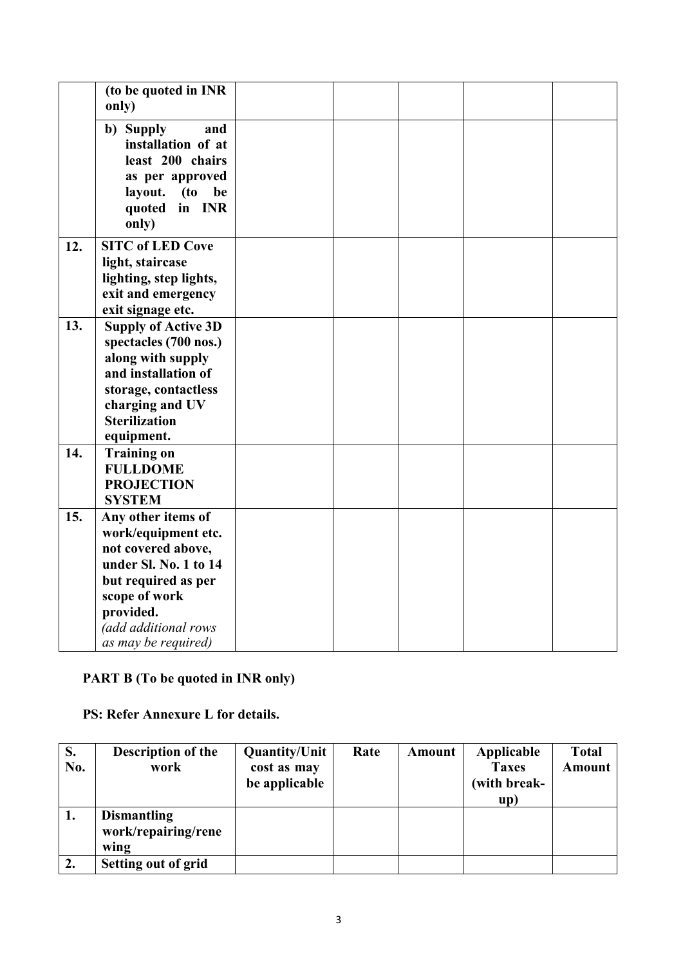|     | (to be quoted in INR<br>only)                                                                                                                                                                |  |  |  |
|-----|----------------------------------------------------------------------------------------------------------------------------------------------------------------------------------------------|--|--|--|
|     | b) Supply<br>and<br>installation of at<br>least 200 chairs<br>as per approved<br>layout.<br>(t <sub>0</sub> )<br>be<br>quoted in INR<br>only)                                                |  |  |  |
| 12. | <b>SITC of LED Cove</b><br>light, staircase<br>lighting, step lights,<br>exit and emergency<br>exit signage etc.                                                                             |  |  |  |
| 13. | <b>Supply of Active 3D</b><br>spectacles (700 nos.)<br>along with supply<br>and installation of<br>storage, contactless<br>charging and UV<br><b>Sterilization</b><br>equipment.             |  |  |  |
| 14. | <b>Training on</b><br><b>FULLDOME</b><br><b>PROJECTION</b><br><b>SYSTEM</b>                                                                                                                  |  |  |  |
| 15. | Any other items of<br>work/equipment etc.<br>not covered above,<br>under Sl. No. 1 to 14<br>but required as per<br>scope of work<br>provided.<br>(add additional rows<br>as may be required) |  |  |  |

# PART B (To be quoted in INR only)

PS: Refer Annexure L for details.

| S.<br>No. | <b>Description of the</b><br>work                 | <b>Quantity/Unit</b><br>cost as may<br>be applicable | Rate | Amount | Applicable<br><b>Taxes</b><br>(with break-<br>up) | <b>Total</b><br><b>Amount</b> |
|-----------|---------------------------------------------------|------------------------------------------------------|------|--------|---------------------------------------------------|-------------------------------|
| 1.        | <b>Dismantling</b><br>work/repairing/rene<br>wing |                                                      |      |        |                                                   |                               |
|           | <b>Setting out of grid</b>                        |                                                      |      |        |                                                   |                               |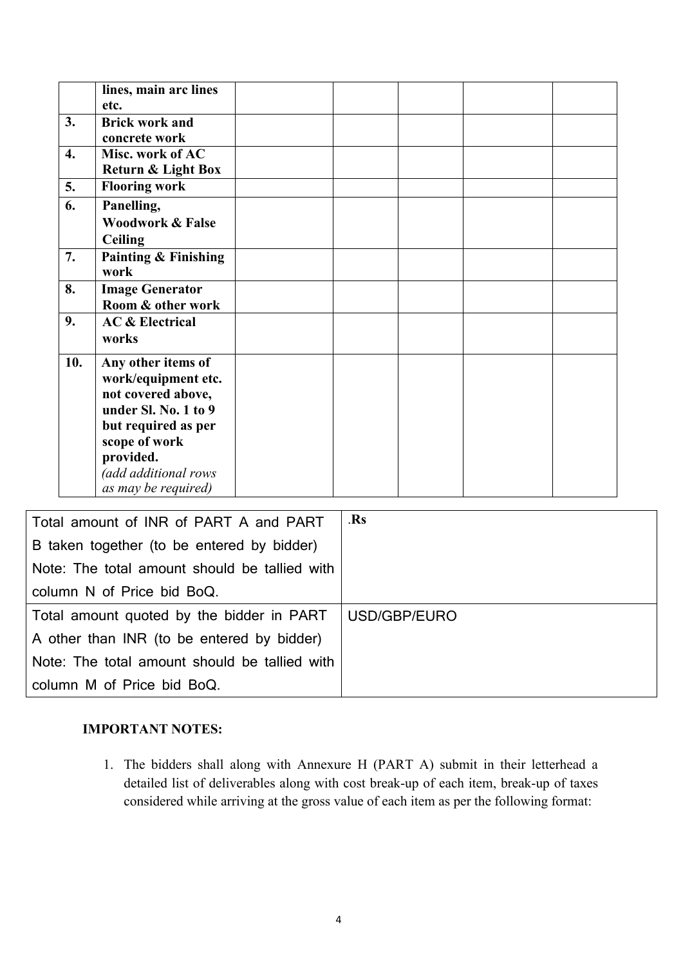| 3.               | lines, main arc lines<br>etc.<br><b>Brick work and</b>                                                                                                                                      |     |  |  |
|------------------|---------------------------------------------------------------------------------------------------------------------------------------------------------------------------------------------|-----|--|--|
|                  |                                                                                                                                                                                             |     |  |  |
|                  | concrete work                                                                                                                                                                               |     |  |  |
| $\overline{4}$ . | Misc. work of AC<br>Return & Light Box                                                                                                                                                      |     |  |  |
| 5.               | <b>Flooring work</b>                                                                                                                                                                        |     |  |  |
| 6.               | Panelling,<br><b>Woodwork &amp; False</b><br><b>Ceiling</b>                                                                                                                                 |     |  |  |
| 7.               | <b>Painting &amp; Finishing</b><br>work                                                                                                                                                     |     |  |  |
| 8.               | <b>Image Generator</b><br>Room & other work                                                                                                                                                 |     |  |  |
| 9.               | <b>AC &amp; Electrical</b><br>works                                                                                                                                                         |     |  |  |
| 10.              | Any other items of<br>work/equipment etc.<br>not covered above,<br>under Sl. No. 1 to 9<br>but required as per<br>scope of work<br>provided.<br>(add additional rows<br>as may be required) |     |  |  |
|                  | Total amount of INR of PART A and PART<br>B taken together (to be entered by bidder)                                                                                                        | .Rs |  |  |

| Note: The total amount should be tallied with            |  |
|----------------------------------------------------------|--|
| column N of Price bid BoQ.                               |  |
| Total amount quoted by the bidder in PART   USD/GBP/EURO |  |
| A other than INR (to be entered by bidder)               |  |
| Note: The total amount should be tallied with            |  |
| column M of Price bid BoQ.                               |  |

### IMPORTANT NOTES:

1. The bidders shall along with Annexure H (PART A) submit in their letterhead a detailed list of deliverables along with cost break-up of each item, break-up of taxes considered while arriving at the gross value of each item as per the following format: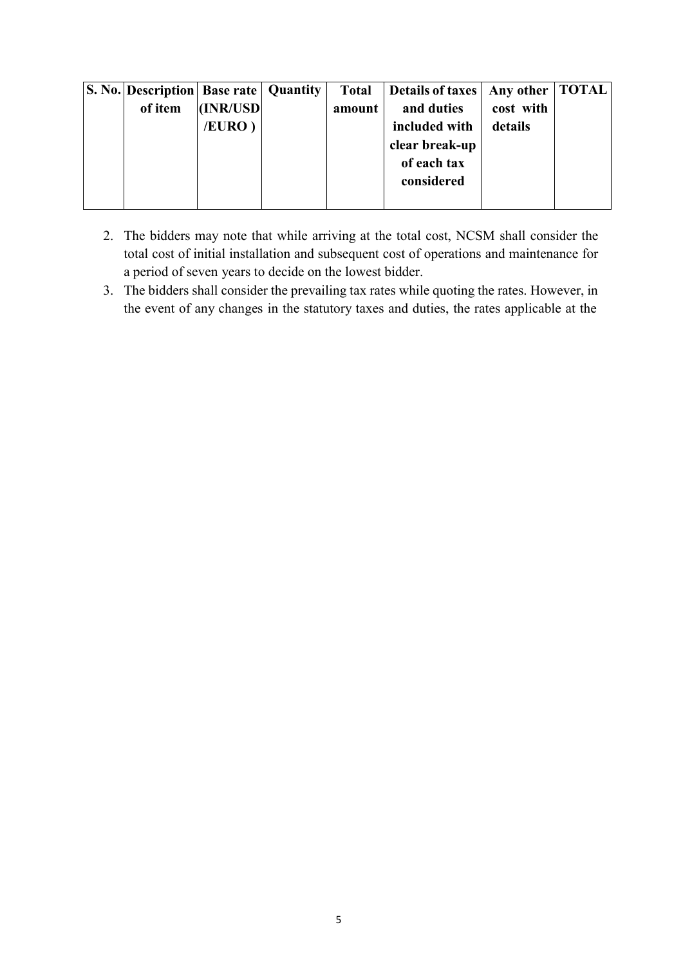| <b>S. No. Description Base rate   Quantity</b> |           |        | Total   Details of taxes | Any other   TOTAL |  |
|------------------------------------------------|-----------|--------|--------------------------|-------------------|--|
| of item                                        | (INR/USD) | amount | and duties               | cost with         |  |
|                                                | /EURO)    |        | included with            | details           |  |
|                                                |           |        | clear break-up           |                   |  |
|                                                |           |        | of each tax              |                   |  |
|                                                |           |        | considered               |                   |  |
|                                                |           |        |                          |                   |  |

- 2. The bidders may note that while arriving at the total cost, NCSM shall consider the total cost of initial installation and subsequent cost of operations and maintenance for a period of seven years to decide on the lowest bidder.
- 3. The bidders shall consider the prevailing tax rates while quoting the rates. However, in the event of any changes in the statutory taxes and duties, the rates applicable at the